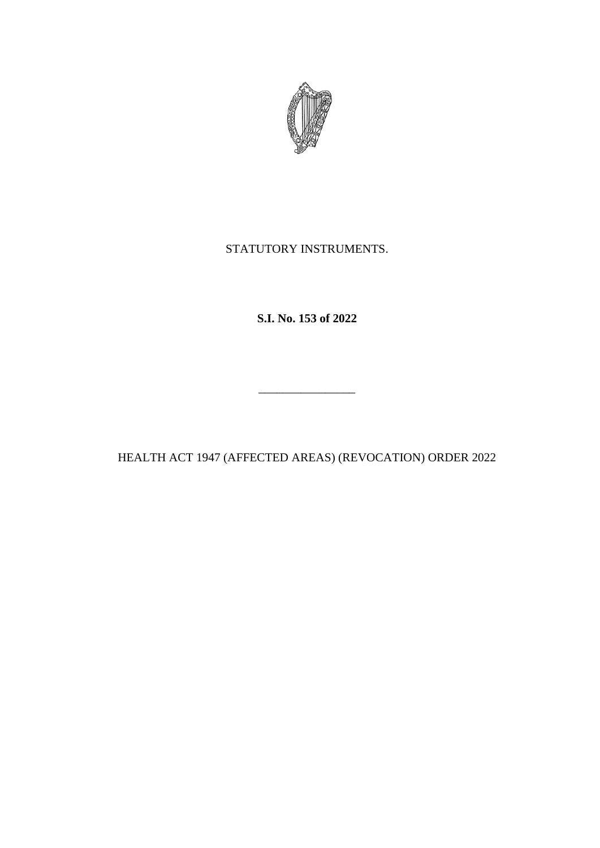

STATUTORY INSTRUMENTS.

**S.I. No. 153 of 2022**

HEALTH ACT 1947 (AFFECTED AREAS) (REVOCATION) ORDER 2022

\_\_\_\_\_\_\_\_\_\_\_\_\_\_\_\_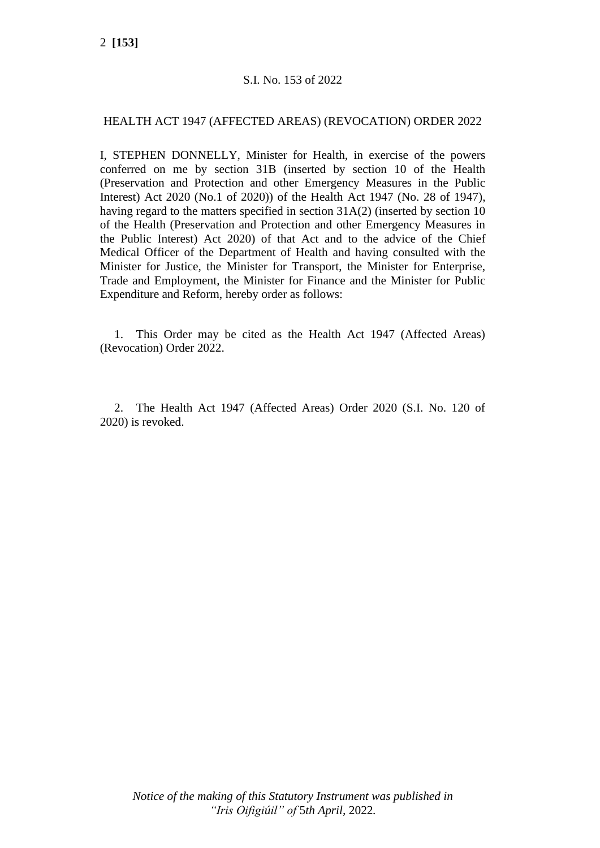## S.I. No. 153 of 2022

## HEALTH ACT 1947 (AFFECTED AREAS) (REVOCATION) ORDER 2022

I, STEPHEN DONNELLY, Minister for Health, in exercise of the powers conferred on me by section 31B (inserted by section 10 of the Health (Preservation and Protection and other Emergency Measures in the Public Interest) Act 2020 (No.1 of 2020)) of the Health Act 1947 (No. 28 of 1947), having regard to the matters specified in section 31A(2) (inserted by section 10 of the Health (Preservation and Protection and other Emergency Measures in the Public Interest) Act 2020) of that Act and to the advice of the Chief Medical Officer of the Department of Health and having consulted with the Minister for Justice, the Minister for Transport, the Minister for Enterprise, Trade and Employment, the Minister for Finance and the Minister for Public Expenditure and Reform, hereby order as follows:

1. This Order may be cited as the Health Act 1947 (Affected Areas) (Revocation) Order 2022.

2. The Health Act 1947 (Affected Areas) Order 2020 (S.I. No. 120 of 2020) is revoked.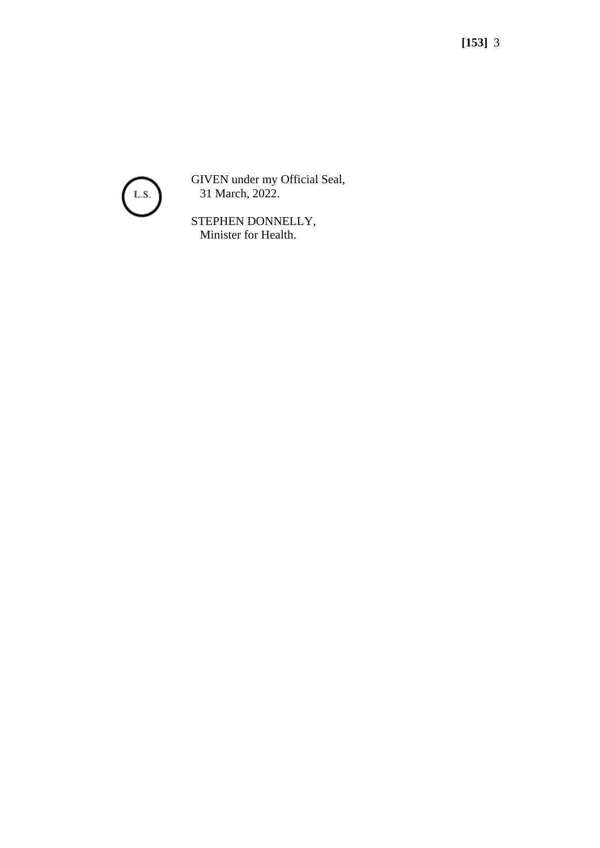

GIVEN under my Official Seal, 31 March, 2022.

STEPHEN DONNELLY, Minister for Health.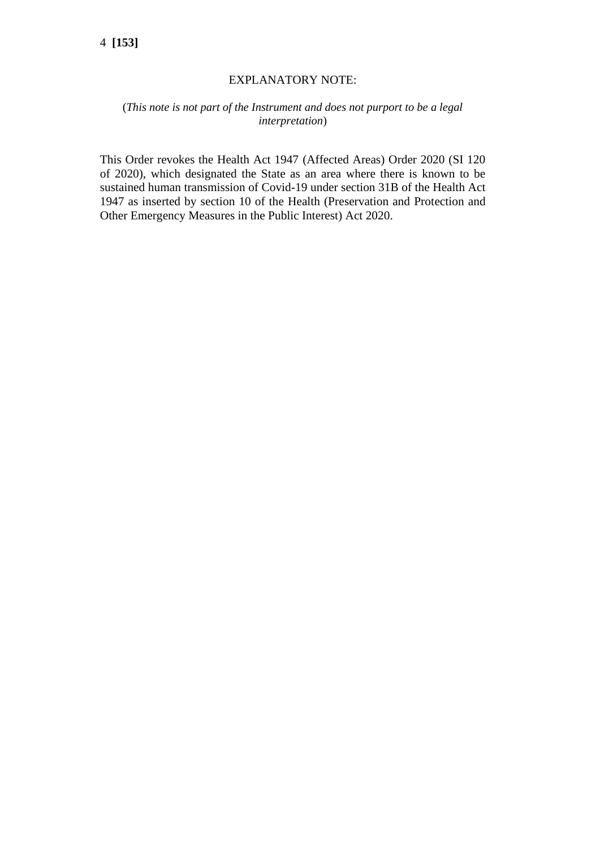## EXPLANATORY NOTE:

## (*This note is not part of the Instrument and does not purport to be a legal interpretation*)

This Order revokes the Health Act 1947 (Affected Areas) Order 2020 (SI 120 of 2020), which designated the State as an area where there is known to be sustained human transmission of Covid-19 under section 31B of the Health Act 1947 as inserted by section 10 of the Health (Preservation and Protection and Other Emergency Measures in the Public Interest) Act 2020.